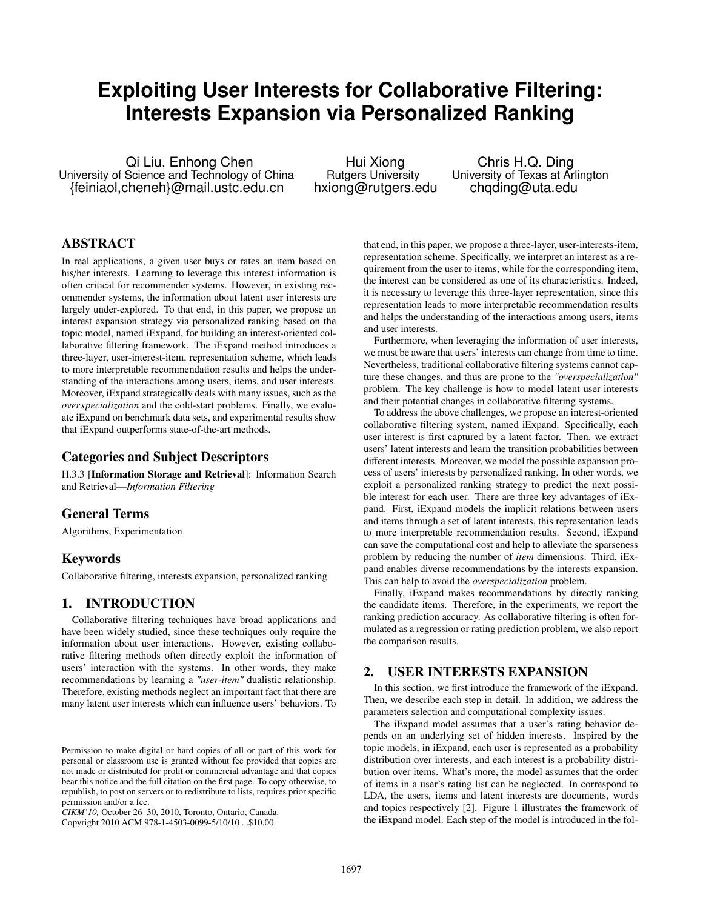# **Exploiting User Interests for Collaborative Filtering: Interests Expansion via Personalized Ranking**

Qi Liu, Enhong Chen Hui Xiong Chris H.Q. Ding<br>Science and Technology of China Rutgers University University of Texas at Arlington University of Science and Technology of China Rutgers University {feiniaol,cheneh}@mail.ustc.edu.cn hxiong@rutgers.edu chqding@uta.edu

# ABSTRACT

In real applications, a given user buys or rates an item based on his/her interests. Learning to leverage this interest information is often critical for recommender systems. However, in existing recommender systems, the information about latent user interests are largely under-explored. To that end, in this paper, we propose an interest expansion strategy via personalized ranking based on the topic model, named iExpand, for building an interest-oriented collaborative filtering framework. The iExpand method introduces a three-layer, user-interest-item, representation scheme, which leads to more interpretable recommendation results and helps the understanding of the interactions among users, items, and user interests. Moreover, iExpand strategically deals with many issues, such as the *overspecialization* and the cold-start problems. Finally, we evaluate iExpand on benchmark data sets, and experimental results show that iExpand outperforms state-of-the-art methods.

# Categories and Subject Descriptors

H.3.3 [Information Storage and Retrieval]: Information Search and Retrieval—*Information Filtering*

## General Terms

Algorithms, Experimentation

## Keywords

Collaborative filtering, interests expansion, personalized ranking

## 1. INTRODUCTION

Collaborative filtering techniques have broad applications and have been widely studied, since these techniques only require the information about user interactions. However, existing collaborative filtering methods often directly exploit the information of users' interaction with the systems. In other words, they make recommendations by learning a *"user-item"* dualistic relationship. Therefore, existing methods neglect an important fact that there are many latent user interests which can influence users' behaviors. To

Copyright 2010 ACM 978-1-4503-0099-5/10/10 ...\$10.00.

that end, in this paper, we propose a three-layer, user-interests-item, representation scheme. Specifically, we interpret an interest as a requirement from the user to items, while for the corresponding item, the interest can be considered as one of its characteristics. Indeed, it is necessary to leverage this three-layer representation, since this representation leads to more interpretable recommendation results and helps the understanding of the interactions among users, items and user interests.

Furthermore, when leveraging the information of user interests, we must be aware that users' interests can change from time to time. Nevertheless, traditional collaborative filtering systems cannot capture these changes, and thus are prone to the *"overspecialization"* problem. The key challenge is how to model latent user interests and their potential changes in collaborative filtering systems.

To address the above challenges, we propose an interest-oriented collaborative filtering system, named iExpand. Specifically, each user interest is first captured by a latent factor. Then, we extract users' latent interests and learn the transition probabilities between different interests. Moreover, we model the possible expansion process of users' interests by personalized ranking. In other words, we exploit a personalized ranking strategy to predict the next possible interest for each user. There are three key advantages of iExpand. First, iExpand models the implicit relations between users and items through a set of latent interests, this representation leads to more interpretable recommendation results. Second, iExpand can save the computational cost and help to alleviate the sparseness problem by reducing the number of *item* dimensions. Third, iExpand enables diverse recommendations by the interests expansion. This can help to avoid the *overspecialization* problem.

Finally, iExpand makes recommendations by directly ranking the candidate items. Therefore, in the experiments, we report the ranking prediction accuracy. As collaborative filtering is often formulated as a regression or rating prediction problem, we also report the comparison results.

## 2. USER INTERESTS EXPANSION

In this section, we first introduce the framework of the iExpand. Then, we describe each step in detail. In addition, we address the parameters selection and computational complexity issues.

The iExpand model assumes that a user's rating behavior depends on an underlying set of hidden interests. Inspired by the topic models, in iExpand, each user is represented as a probability distribution over interests, and each interest is a probability distribution over items. What's more, the model assumes that the order of items in a user's rating list can be neglected. In correspond to LDA, the users, items and latent interests are documents, words and topics respectively [2]. Figure 1 illustrates the framework of the iExpand model. Each step of the model is introduced in the fol-

Permission to make digital or hard copies of all or part of this work for personal or classroom use is granted without fee provided that copies are not made or distributed for profit or commercial advantage and that copies bear this notice and the full citation on the first page. To copy otherwise, to republish, to post on servers or to redistribute to lists, requires prior specific permission and/or a fee.

*CIKM'10,* October 26–30, 2010, Toronto, Ontario, Canada.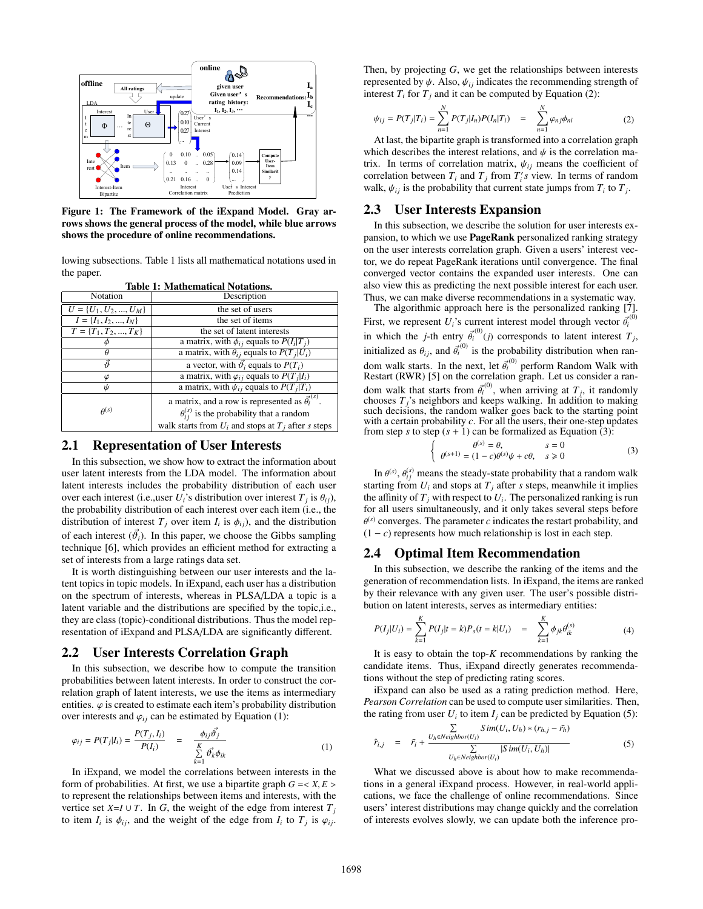

Figure 1: The Framework of the iExpand Model. Gray arrows shows the general process of the model, while blue arrows shows the procedure of online recommendations.

lowing subsections. Table 1 lists all mathematical notations used in the paper.

Table 1: Mathematical Notations.

| Table 1: Mathematical Notations. |                                                                                                                        |  |  |  |  |  |  |
|----------------------------------|------------------------------------------------------------------------------------------------------------------------|--|--|--|--|--|--|
| Notation                         | Description                                                                                                            |  |  |  |  |  |  |
| $U = \{U_1, U_2, , U_M\}$        | the set of users                                                                                                       |  |  |  |  |  |  |
| $I = \{I_1, I_2, , I_N\}$        | the set of items                                                                                                       |  |  |  |  |  |  |
| $T = \{T_1, T_2, , T_K\}$        | the set of latent interests                                                                                            |  |  |  |  |  |  |
|                                  | a matrix, with $\phi_{ij}$ equals to $P(I_i T_i)$                                                                      |  |  |  |  |  |  |
| $\theta$                         | a matrix, with $\theta_{ij}$ equals to $P(T_j U_i)$                                                                    |  |  |  |  |  |  |
| 1Î                               | a vector, with $\vec{\theta}_i$ equals to $P(T_i)$                                                                     |  |  |  |  |  |  |
| φ                                | a matrix, with $\varphi_{ij}$ equals to $P(T_i I_i)$                                                                   |  |  |  |  |  |  |
| ψ                                | a matrix, with $\psi_{ij}$ equals to $P(T_j T_i)$                                                                      |  |  |  |  |  |  |
| $\rho(s)$                        | a matrix, and a row is represented as $\vec{\theta_i}^{(s)}$ .<br>$\theta_{ij}^{(s)}$ is the probability that a random |  |  |  |  |  |  |
|                                  | walk starts from $U_i$ and stops at $T_i$ after s steps                                                                |  |  |  |  |  |  |

#### 2.1 Representation of User Interests

In this subsection, we show how to extract the information about user latent interests from the LDA model. The information about latent interests includes the probability distribution of each user over each interest (i.e.,user  $U_i$ 's distribution over interest  $T_j$  is  $\theta_{ij}$ ), the probability distribution of each interest over each item (i.e., the distribution of interest  $T_j$  over item  $I_i$  is  $\phi_{ij}$ ), and the distribution of each interest  $(\vec{\theta}_i)$ . In this paper, we choose the Gibbs sampling technique [6], which provides an efficient method for extracting a set of interests from a large ratings data set.

It is worth distinguishing between our user interests and the latent topics in topic models. In iExpand, each user has a distribution on the spectrum of interests, whereas in PLSA/LDA a topic is a latent variable and the distributions are specified by the topic,i.e., they are class (topic)-conditional distributions. Thus the model representation of iExpand and PLSA/LDA are significantly different.

# 2.2 User Interests Correlation Graph

In this subsection, we describe how to compute the transition probabilities between latent interests. In order to construct the correlation graph of latent interests, we use the items as intermediary entities.  $\varphi$  is created to estimate each item's probability distribution over interests and  $\varphi_{ij}$  can be estimated by Equation (1):

$$
\varphi_{ij} = P(T_j|I_i) = \frac{P(T_j, I_i)}{P(I_i)} = \frac{\phi_{ij}\vec{\vartheta_j}}{\sum\limits_{k=1}^K \vec{\vartheta_k}\phi_{ik}}
$$
(1)

In iExpand, we model the correlations between interests in the form of probabilities. At first, we use a bipartite graph  $G = \langle X, E \rangle$ to represent the relationships between items and interests, with the vertice set  $X=I \cup T$ . In *G*, the weight of the edge from interest  $T_i$ to item  $I_i$  is  $\phi_{ij}$ , and the weight of the edge from  $I_i$  to  $T_j$  is  $\varphi_{ij}$ .

Then, by projecting *G*, we get the relationships between interests represented by  $\psi$ . Also,  $\psi_{ij}$  indicates the recommending strength of interest  $T_i$  for  $T_j$  and it can be computed by Equation (2):

$$
\psi_{ij} = P(T_j|T_i) = \sum_{n=1}^{N} P(T_j|I_n)P(I_n|T_i) = \sum_{n=1}^{N} \varphi_{nj} \phi_{ni}
$$
 (2)

At last, the bipartite graph is transformed into a correlation graph which describes the interest relations, and  $\psi$  is the correlation matrix. In terms of correlation matrix,  $\psi_{ij}$  means the coefficient of correlation between  $T_i$  and  $T_j$  from  $T_i$ 's view. In terms of random walk,  $\psi_{ij}$  is the probability that current state jumps from  $T_i$  to  $T_j$ .

#### 2.3 User Interests Expansion

In this subsection, we describe the solution for user interests expansion, to which we use PageRank personalized ranking strategy on the user interests correlation graph. Given a users' interest vector, we do repeat PageRank iterations until convergence. The final converged vector contains the expanded user interests. One can also view this as predicting the next possible interest for each user. Thus, we can make diverse recommendations in a systematic way.

The algorithmic approach here is the personalized ranking [7]. First, we represent  $U_i$ 's current interest model through vector  $\vec{\theta}_i^{(0)}$ in which the *j*-th entry  $\vec{\theta}_i^{(0)}(j)$  corresponds to latent interest  $T_j$ , initialized as  $\theta_{ij}$ , and  $\vec{\theta_i}^{(0)}$  is the probability distribution when random walk starts. In the next, let  $\vec{\theta}_i^{(0)}$  perform Random Walk with Restart (RWR) [5] on the correlation graph. Let us consider a random walk that starts from  $\vec{\theta}_i^{(0)}$ , when arriving at  $T_j$ , it randomly chooses  $T_j$ 's neighbors and keeps walking. In addition to making such decisions, the random walker goes back to the starting point with a certain probability *c*. For all the users, their one-step updates from step *s* to step  $(s + 1)$  can be formalized as Equation (3):

$$
\begin{cases}\n\theta^{(s)} = \theta, & s = 0 \\
\theta^{(s+1)} = (1 - c)\theta^{(s)}\psi + c\theta, & s \ge 0\n\end{cases}
$$
\n(3)

In  $\theta^{(s)}$ ,  $\theta_{ij}^{(s)}$  means the steady-state probability that a random walk starting from  $U_i$  and stops at  $T_j$  after *s* steps, meanwhile it implies the affinity of  $T_j$  with respect to  $U_i$ . The personalized ranking is run for all users simultaneously, and it only takes several steps before  $\theta^{(s)}$  converges. The parameter *c* indicates the restart probability, and  $(1 - c)$  represents how much relationship is lost in each step.

#### 2.4 Optimal Item Recommendation

In this subsection, we describe the ranking of the items and the generation of recommendation lists. In iExpand, the items are ranked by their relevance with any given user. The user's possible distribution on latent interests, serves as intermediary entities:

$$
P(I_j|U_i) = \sum_{k=1}^{K} P(I_j|t=k)P_s(t=k|U_i) = \sum_{k=1}^{K} \phi_{jk} \theta_{ik}^{(s)}
$$
(4)

It is easy to obtain the top-*K* recommendations by ranking the candidate items. Thus, iExpand directly generates recommendations without the step of predicting rating scores.

iExpand can also be used as a rating prediction method. Here, *Pearson Correlation* can be used to compute user similarities. Then, the rating from user  $U_i$  to item  $I_j$  can be predicted by Equation (5):

$$
\hat{r}_{i,j} = \bar{r}_i + \frac{\sum\limits_{U_h \in Neighbour(U_i)} Sim(U_i, U_h) * (r_{h,j} - \bar{r}_h)}{\sum\limits_{U_h \in Neighbour(U_i)} |Sim(U_i, U_h)|}
$$
\n(5)

What we discussed above is about how to make recommendations in a general iExpand process. However, in real-world applications, we face the challenge of online recommendations. Since users' interest distributions may change quickly and the correlation of interests evolves slowly, we can update both the inference pro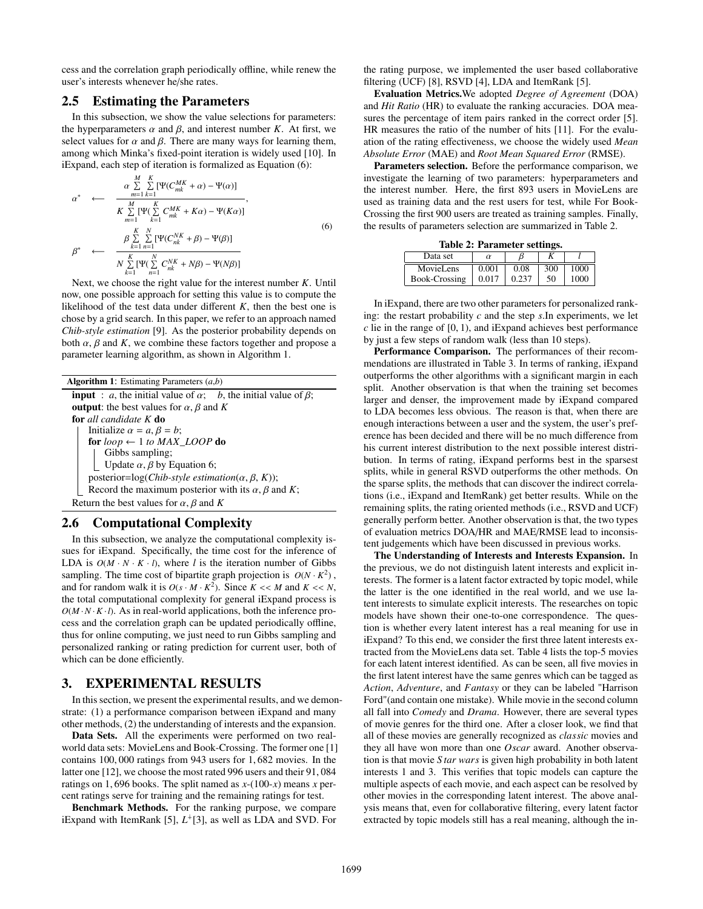cess and the correlation graph periodically offline, while renew the user's interests whenever he/she rates.

#### 2.5 Estimating the Parameters

In this subsection, we show the value selections for parameters: the hyperparameters  $\alpha$  and  $\beta$ , and interest number *K*. At first, we select values for  $\alpha$  and  $\beta$ . There are many ways for learning them, among which Minka's fixed-point iteration is widely used [10]. In iExpand, each step of iteration is formalized as Equation (6):

$$
\alpha^* \longleftarrow \frac{\alpha \sum\limits_{m=1}^{M} \sum\limits_{k=1}^{K} [\Psi(C_{mk}^{MK} + \alpha) - \Psi(\alpha)]}{K \sum\limits_{m=1}^{M} [\Psi(\sum\limits_{k=1}^{K} C_{mk}^{MK} + K\alpha) - \Psi(K\alpha)]},
$$
\n
$$
\beta^* \longleftarrow \frac{\beta \sum\limits_{k=1}^{K} \sum\limits_{n=1}^{N} [\Psi(C_{nk}^{NK} + \beta) - \Psi(\beta)]}{N \sum\limits_{k=1}^{K} [\Psi(\sum\limits_{n=1}^{N} C_{nk}^{NK} + N\beta) - \Psi(N\beta)]}
$$
\n(6)

Next, we choose the right value for the interest number *K*. Until now, one possible approach for setting this value is to compute the likelihood of the test data under different  $K$ , then the best one is chose by a grid search. In this paper, we refer to an approach named *Chib-style estimation* [9]. As the posterior probability depends on both  $\alpha$ ,  $\beta$  and  $K$ , we combine these factors together and propose a parameter learning algorithm, as shown in Algorithm 1.

| <b>Algorithm 1:</b> Estimating Parameters $(a,b)$                                   |  |  |  |  |
|-------------------------------------------------------------------------------------|--|--|--|--|
| <b>input</b> : a, the initial value of $\alpha$ ; b, the initial value of $\beta$ ; |  |  |  |  |
| <b>output:</b> the best values for $\alpha$ , $\beta$ and K                         |  |  |  |  |
| for all candidate $K$ do                                                            |  |  |  |  |
| Initialize $\alpha = a, \beta = b$ ;                                                |  |  |  |  |
| for $loop \leftarrow 1$ to MAX_LOOP do                                              |  |  |  |  |
| Gibbs sampling;                                                                     |  |  |  |  |
| Update $\alpha$ , $\beta$ by Equation 6;                                            |  |  |  |  |
| posterior= $log(Chib\text{-}style\;estimation(\alpha, \beta, K));$                  |  |  |  |  |
| Record the maximum posterior with its $\alpha$ , $\beta$ and K;                     |  |  |  |  |
| Return the best values for $\alpha$ , $\beta$ and K                                 |  |  |  |  |

## 2.6 Computational Complexity

In this subsection, we analyze the computational complexity issues for iExpand. Specifically, the time cost for the inference of LDA is  $O(M \cdot N \cdot K \cdot l)$ , where *l* is the iteration number of Gibbs sampling. The time cost of bipartite graph projection is  $O(N \cdot K^2)$ , and for random walk it is  $O(s \cdot M \cdot K^2)$ . Since  $K \ll M$  and  $K \ll N$ , the total computational complexity for general iExpand process is  $O(M \cdot N \cdot K \cdot l)$ . As in real-world applications, both the inference process and the correlation graph can be updated periodically offline, thus for online computing, we just need to run Gibbs sampling and personalized ranking or rating prediction for current user, both of which can be done efficiently.

## 3. EXPERIMENTAL RESULTS

In this section, we present the experimental results, and we demonstrate: (1) a performance comparison between iExpand and many other methods, (2) the understanding of interests and the expansion.

Data Sets. All the experiments were performed on two realworld data sets: MovieLens and Book-Crossing. The former one [1] contains 100, 000 ratings from 943 users for 1, 682 movies. In the latter one [12], we choose the most rated 996 users and their 91, 084 ratings on 1, 696 books. The split named as *x*-(100-*x*) means *x* percent ratings serve for training and the remaining ratings for test.

Benchmark Methods. For the ranking purpose, we compare iExpand with ItemRank [5],  $L^{\dagger}$ [3], as well as LDA and SVD. For

the rating purpose, we implemented the user based collaborative filtering (UCF) [8], RSVD [4], LDA and ItemRank [5].

Evaluation Metrics.We adopted *Degree of Agreement* (DOA) and *Hit Ratio* (HR) to evaluate the ranking accuracies. DOA measures the percentage of item pairs ranked in the correct order [5]. HR measures the ratio of the number of hits [11]. For the evaluation of the rating effectiveness, we choose the widely used *Mean Absolute Error* (MAE) and *Root Mean Squared Error* (RMSE).

Parameters selection. Before the performance comparison, we investigate the learning of two parameters: hyperparameters and the interest number. Here, the first 893 users in MovieLens are used as training data and the rest users for test, while For Book-Crossing the first 900 users are treated as training samples. Finally, the results of parameters selection are summarized in Table 2.

Table 2: Parameter settings.

| rabic 2: I aramcter scitnigs. |                |               |           |              |  |  |  |
|-------------------------------|----------------|---------------|-----------|--------------|--|--|--|
| Data set                      | $\alpha$       |               |           |              |  |  |  |
| MovieLens<br>Book-Crossing    | 0.001<br>0.017 | 0.08<br>0.237 | 300<br>50 | 1000<br>1000 |  |  |  |

In iExpand, there are two other parameters for personalized ranking: the restart probability *c* and the step *s*.In experiments, we let *c* lie in the range of [0, 1), and iExpand achieves best performance by just a few steps of random walk (less than 10 steps).

Performance Comparison. The performances of their recommendations are illustrated in Table 3. In terms of ranking, iExpand outperforms the other algorithms with a significant margin in each split. Another observation is that when the training set becomes larger and denser, the improvement made by iExpand compared to LDA becomes less obvious. The reason is that, when there are enough interactions between a user and the system, the user's preference has been decided and there will be no much difference from his current interest distribution to the next possible interest distribution. In terms of rating, iExpand performs best in the sparsest splits, while in general RSVD outperforms the other methods. On the sparse splits, the methods that can discover the indirect correlations (i.e., iExpand and ItemRank) get better results. While on the remaining splits, the rating oriented methods (i.e., RSVD and UCF) generally perform better. Another observation is that, the two types of evaluation metrics DOA/HR and MAE/RMSE lead to inconsistent judgements which have been discussed in previous works.

The Understanding of Interests and Interests Expansion. In the previous, we do not distinguish latent interests and explicit interests. The former is a latent factor extracted by topic model, while the latter is the one identified in the real world, and we use latent interests to simulate explicit interests. The researches on topic models have shown their one-to-one correspondence. The question is whether every latent interest has a real meaning for use in iExpand? To this end, we consider the first three latent interests extracted from the MovieLens data set. Table 4 lists the top-5 movies for each latent interest identified. As can be seen, all five movies in the first latent interest have the same genres which can be tagged as *Action*, *Adventure*, and *Fantasy* or they can be labeled "Harrison Ford"(and contain one mistake). While movie in the second column all fall into *Comedy* and *Drama*. However, there are several types of movie genres for the third one. After a closer look, we find that all of these movies are generally recognized as *classic* movies and they all have won more than one *Oscar* award. Another observation is that movie *S tar wars* is given high probability in both latent interests 1 and 3. This verifies that topic models can capture the multiple aspects of each movie, and each aspect can be resolved by other movies in the corresponding latent interest. The above analysis means that, even for collaborative filtering, every latent factor extracted by topic models still has a real meaning, although the in-